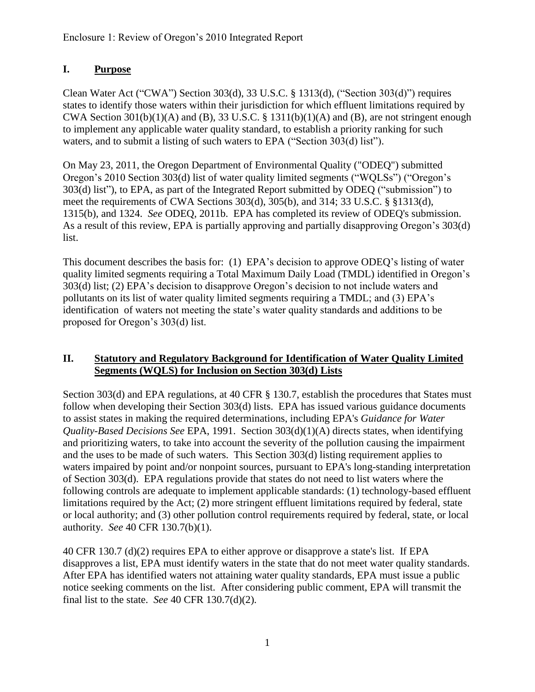### **I. Purpose**

Clean Water Act ("CWA") Section 303(d), 33 U.S.C. § 1313(d), ("Section 303(d)") requires states to identify those waters within their jurisdiction for which effluent limitations required by CWA Section 301(b)(1)(A) and (B), 33 U.S.C.  $\S$  1311(b)(1)(A) and (B), are not stringent enough to implement any applicable water quality standard, to establish a priority ranking for such waters, and to submit a listing of such waters to EPA ("Section 303(d) list").

On May 23, 2011, the Oregon Department of Environmental Quality ("ODEQ") submitted Oregon's 2010 Section 303(d) list of water quality limited segments ("WQLSs") ("Oregon's 303(d) list"), to EPA, as part of the Integrated Report submitted by ODEQ ("submission") to meet the requirements of CWA Sections 303(d), 305(b), and 314; 33 U.S.C. § §1313(d), 1315(b), and 1324. *See* ODEQ, 2011b. EPA has completed its review of ODEQ's submission. As a result of this review, EPA is partially approving and partially disapproving Oregon's 303(d) list.

This document describes the basis for: (1) EPA's decision to approve ODEQ's listing of water quality limited segments requiring a Total Maximum Daily Load (TMDL) identified in Oregon's 303(d) list; (2) EPA's decision to disapprove Oregon's decision to not include waters and pollutants on its list of water quality limited segments requiring a TMDL; and (3) EPA's identification of waters not meeting the state's water quality standards and additions to be proposed for Oregon's 303(d) list.

#### **II. Statutory and Regulatory Background for Identification of Water Quality Limited Segments (WQLS) for Inclusion on Section 303(d) Lists**

Section 303(d) and EPA regulations, at 40 CFR § 130.7, establish the procedures that States must follow when developing their Section 303(d) lists. EPA has issued various guidance documents to assist states in making the required determinations, including EPA's *Guidance for Water Quality-Based Decisions See* EPA, 1991. Section 303(d)(1)(A) directs states, when identifying and prioritizing waters, to take into account the severity of the pollution causing the impairment and the uses to be made of such waters. This Section 303(d) listing requirement applies to waters impaired by point and/or nonpoint sources, pursuant to EPA's long-standing interpretation of Section 303(d). EPA regulations provide that states do not need to list waters where the following controls are adequate to implement applicable standards: (1) technology-based effluent limitations required by the Act; (2) more stringent effluent limitations required by federal, state or local authority; and (3) other pollution control requirements required by federal, state, or local authority. *See* 40 CFR 130.7(b)(1).

40 CFR 130.7 (d)(2) requires EPA to either approve or disapprove a state's list. If EPA disapproves a list, EPA must identify waters in the state that do not meet water quality standards. After EPA has identified waters not attaining water quality standards, EPA must issue a public notice seeking comments on the list. After considering public comment, EPA will transmit the final list to the state. *See* 40 CFR 130.7(d)(2).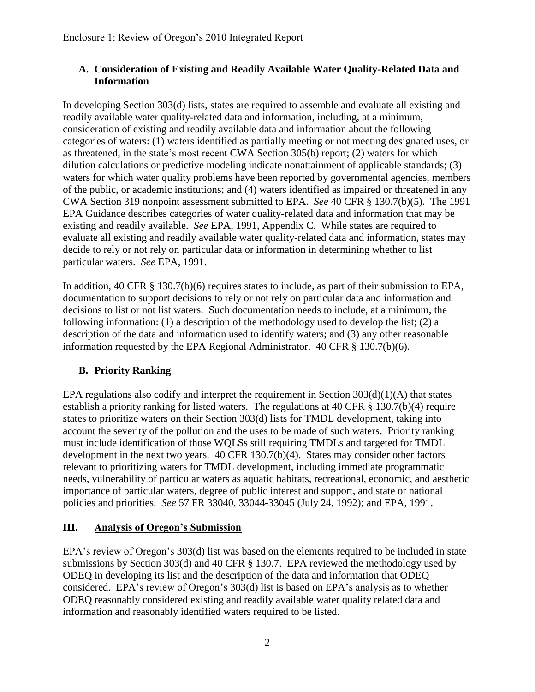#### **A. Consideration of Existing and Readily Available Water Quality-Related Data and Information**

In developing Section 303(d) lists, states are required to assemble and evaluate all existing and readily available water quality-related data and information, including, at a minimum, consideration of existing and readily available data and information about the following categories of waters: (1) waters identified as partially meeting or not meeting designated uses, or as threatened, in the state's most recent CWA Section 305(b) report; (2) waters for which dilution calculations or predictive modeling indicate nonattainment of applicable standards; (3) waters for which water quality problems have been reported by governmental agencies, members of the public, or academic institutions; and (4) waters identified as impaired or threatened in any CWA Section 319 nonpoint assessment submitted to EPA. *See* 40 CFR § 130.7(b)(5). The 1991 EPA Guidance describes categories of water quality-related data and information that may be existing and readily available. *See* EPA, 1991, Appendix C. While states are required to evaluate all existing and readily available water quality-related data and information, states may decide to rely or not rely on particular data or information in determining whether to list particular waters. *See* EPA, 1991.

In addition, 40 CFR § 130.7(b)(6) requires states to include, as part of their submission to EPA, documentation to support decisions to rely or not rely on particular data and information and decisions to list or not list waters. Such documentation needs to include, at a minimum, the following information: (1) a description of the methodology used to develop the list; (2) a description of the data and information used to identify waters; and (3) any other reasonable information requested by the EPA Regional Administrator. 40 CFR § 130.7(b)(6).

# **B. Priority Ranking**

EPA regulations also codify and interpret the requirement in Section  $303(d)(1)(A)$  that states establish a priority ranking for listed waters. The regulations at 40 CFR § 130.7(b)(4) require states to prioritize waters on their Section 303(d) lists for TMDL development, taking into account the severity of the pollution and the uses to be made of such waters. Priority ranking must include identification of those WQLSs still requiring TMDLs and targeted for TMDL development in the next two years. 40 CFR 130.7(b)(4). States may consider other factors relevant to prioritizing waters for TMDL development, including immediate programmatic needs, vulnerability of particular waters as aquatic habitats, recreational, economic, and aesthetic importance of particular waters, degree of public interest and support, and state or national policies and priorities. *See* 57 FR 33040, 33044-33045 (July 24, 1992); and EPA, 1991.

### **III. Analysis of Oregon's Submission**

EPA's review of Oregon's 303(d) list was based on the elements required to be included in state submissions by Section 303(d) and 40 CFR § 130.7. EPA reviewed the methodology used by ODEQ in developing its list and the description of the data and information that ODEQ considered. EPA's review of Oregon's 303(d) list is based on EPA's analysis as to whether ODEQ reasonably considered existing and readily available water quality related data and information and reasonably identified waters required to be listed.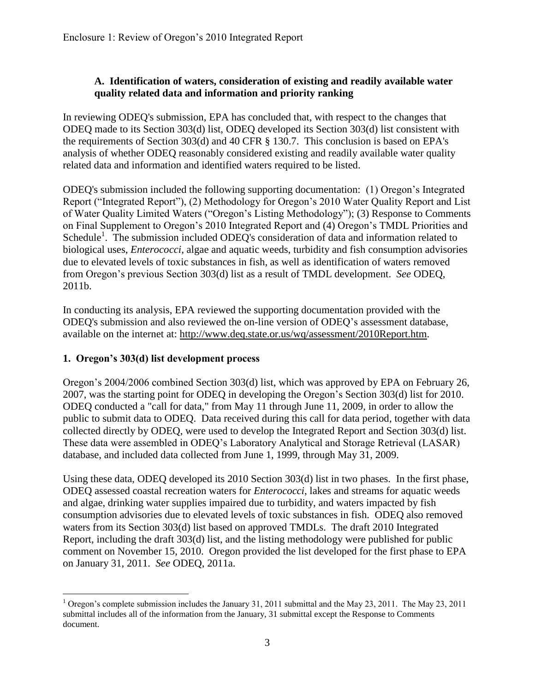#### **A. Identification of waters, consideration of existing and readily available water quality related data and information and priority ranking**

In reviewing ODEQ's submission, EPA has concluded that, with respect to the changes that ODEQ made to its Section 303(d) list, ODEQ developed its Section 303(d) list consistent with the requirements of Section 303(d) and 40 CFR § 130.7. This conclusion is based on EPA's analysis of whether ODEQ reasonably considered existing and readily available water quality related data and information and identified waters required to be listed.

ODEQ's submission included the following supporting documentation: (1) Oregon's Integrated Report ("Integrated Report"), (2) Methodology for Oregon's 2010 Water Quality Report and List of Water Quality Limited Waters ("Oregon's Listing Methodology"); (3) Response to Comments on Final Supplement to Oregon's 2010 Integrated Report and (4) Oregon's TMDL Priorities and Schedule<sup>1</sup>. The submission included ODEQ's consideration of data and information related to biological uses, *Enterococci*, algae and aquatic weeds, turbidity and fish consumption advisories due to elevated levels of toxic substances in fish, as well as identification of waters removed from Oregon's previous Section 303(d) list as a result of TMDL development. *See* ODEQ, 2011b.

In conducting its analysis, EPA reviewed the supporting documentation provided with the ODEQ's submission and also reviewed the on-line version of ODEQ's assessment database, available on the internet at: http://www.deq.state.or.us/wq/assessment/2010Report.htm.

### **1. Oregon's 303(d) list development process**

Oregon's 2004/2006 combined Section 303(d) list, which was approved by EPA on February 26, 2007, was the starting point for ODEQ in developing the Oregon's Section 303(d) list for 2010. ODEQ conducted a "call for data," from May 11 through June 11, 2009, in order to allow the public to submit data to ODEQ. Data received during this call for data period, together with data collected directly by ODEQ, were used to develop the Integrated Report and Section 303(d) list. These data were assembled in ODEQ's Laboratory Analytical and Storage Retrieval (LASAR) database, and included data collected from June 1, 1999, through May 31, 2009.

Using these data, ODEQ developed its 2010 Section 303(d) list in two phases. In the first phase, ODEQ assessed coastal recreation waters for *Enterococci*, lakes and streams for aquatic weeds and algae, drinking water supplies impaired due to turbidity, and waters impacted by fish consumption advisories due to elevated levels of toxic substances in fish. ODEQ also removed waters from its Section 303(d) list based on approved TMDLs. The draft 2010 Integrated Report, including the draft 303(d) list, and the listing methodology were published for public comment on November 15, 2010. Oregon provided the list developed for the first phase to EPA on January 31, 2011. *See* ODEQ, 2011a.

 $\overline{a}$ <sup>1</sup> Oregon's complete submission includes the January 31, 2011 submittal and the May 23, 2011. The May 23, 2011 submittal includes all of the information from the January, 31 submittal except the Response to Comments document.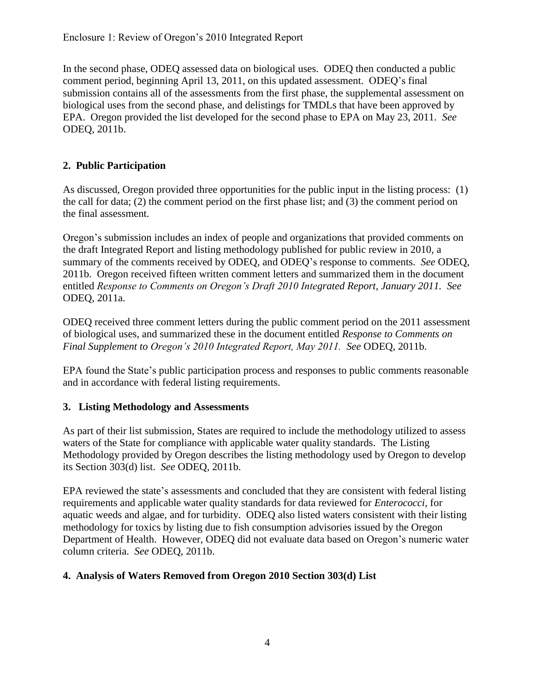In the second phase, ODEQ assessed data on biological uses. ODEQ then conducted a public comment period, beginning April 13, 2011, on this updated assessment. ODEQ's final submission contains all of the assessments from the first phase, the supplemental assessment on biological uses from the second phase, and delistings for TMDLs that have been approved by EPA. Oregon provided the list developed for the second phase to EPA on May 23, 2011. *See* ODEQ, 2011b.

## **2. Public Participation**

As discussed, Oregon provided three opportunities for the public input in the listing process: (1) the call for data; (2) the comment period on the first phase list; and (3) the comment period on the final assessment.

Oregon's submission includes an index of people and organizations that provided comments on the draft Integrated Report and listing methodology published for public review in 2010, a summary of the comments received by ODEQ, and ODEQ's response to comments. *See* ODEQ, 2011b. Oregon received fifteen written comment letters and summarized them in the document entitled *Response to Comments on Oregon's Draft 2010 Integrated Report, January 2011. See* ODEQ, 2011a.

ODEQ received three comment letters during the public comment period on the 2011 assessment of biological uses, and summarized these in the document entitled *Response to Comments on Final Supplement to Oregon's 2010 Integrated Report, May 2011. See* ODEQ, 2011b.

EPA found the State's public participation process and responses to public comments reasonable and in accordance with federal listing requirements.

### **3. Listing Methodology and Assessments**

As part of their list submission, States are required to include the methodology utilized to assess waters of the State for compliance with applicable water quality standards. The Listing Methodology provided by Oregon describes the listing methodology used by Oregon to develop its Section 303(d) list. *See* ODEQ, 2011b.

EPA reviewed the state's assessments and concluded that they are consistent with federal listing requirements and applicable water quality standards for data reviewed for *Enterococci*, for aquatic weeds and algae, and for turbidity. ODEQ also listed waters consistent with their listing methodology for toxics by listing due to fish consumption advisories issued by the Oregon Department of Health. However, ODEQ did not evaluate data based on Oregon's numeric water column criteria. *See* ODEQ, 2011b.

### **4. Analysis of Waters Removed from Oregon 2010 Section 303(d) List**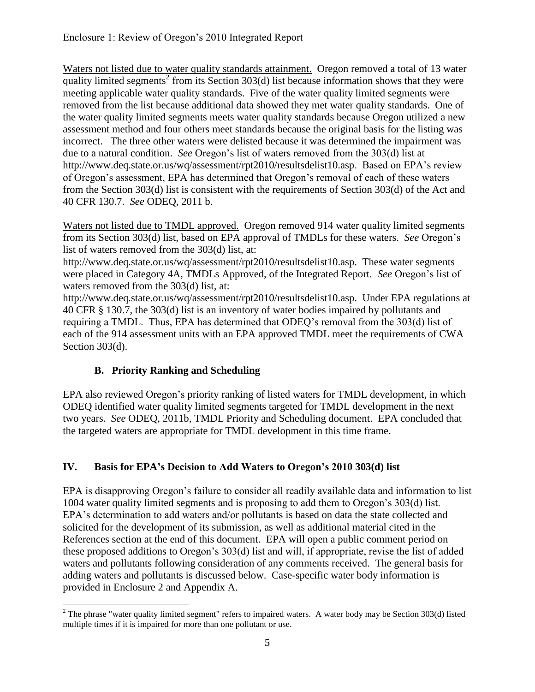Waters not listed due to water quality standards attainment. Oregon removed a total of 13 water quality limited segments<sup>2</sup> from its Section  $303(d)$  list because information shows that they were meeting applicable water quality standards. Five of the water quality limited segments were removed from the list because additional data showed they met water quality standards. One of the water quality limited segments meets water quality standards because Oregon utilized a new assessment method and four others meet standards because the original basis for the listing was incorrect. The three other waters were delisted because it was determined the impairment was due to a natural condition. *See* Oregon's list of waters removed from the 303(d) list at http://www.deq.state.or.us/wq/assessment/rpt2010/resultsdelist10.asp. Based on EPA's review of Oregon's assessment, EPA has determined that Oregon's removal of each of these waters from the Section 303(d) list is consistent with the requirements of Section 303(d) of the Act and 40 CFR 130.7. *See* ODEQ, 2011 b.

Waters not listed due to TMDL approved. Oregon removed 914 water quality limited segments from its Section 303(d) list, based on EPA approval of TMDLs for these waters. *See* Oregon's list of waters removed from the 303(d) list, at:

http://www.deq.state.or.us/wq/assessment/rpt2010/resultsdelist10.asp. These water segments were placed in Category 4A, TMDLs Approved, of the Integrated Report. *See* Oregon's list of waters removed from the 303(d) list, at:

http://www.deq.state.or.us/wq/assessment/rpt2010/resultsdelist10.asp. Under EPA regulations at 40 CFR § 130.7, the 303(d) list is an inventory of water bodies impaired by pollutants and requiring a TMDL. Thus, EPA has determined that ODEQ's removal from the 303(d) list of each of the 914 assessment units with an EPA approved TMDL meet the requirements of CWA Section 303(d).

# **B. Priority Ranking and Scheduling**

EPA also reviewed Oregon's priority ranking of listed waters for TMDL development, in which ODEQ identified water quality limited segments targeted for TMDL development in the next two years. *See* ODEQ, 2011b, TMDL Priority and Scheduling document. EPA concluded that the targeted waters are appropriate for TMDL development in this time frame.

# **IV. Basis for EPA's Decision to Add Waters to Oregon's 2010 303(d) list**

EPA is disapproving Oregon's failure to consider all readily available data and information to list 1004 water quality limited segments and is proposing to add them to Oregon's 303(d) list. EPA's determination to add waters and/or pollutants is based on data the state collected and solicited for the development of its submission, as well as additional material cited in the References section at the end of this document. EPA will open a public comment period on these proposed additions to Oregon's 303(d) list and will, if appropriate, revise the list of added waters and pollutants following consideration of any comments received. The general basis for adding waters and pollutants is discussed below. Case-specific water body information is provided in Enclosure 2 and Appendix A.

 $\overline{a}$  $2$  The phrase "water quality limited segment" refers to impaired waters. A water body may be Section 303(d) listed multiple times if it is impaired for more than one pollutant or use.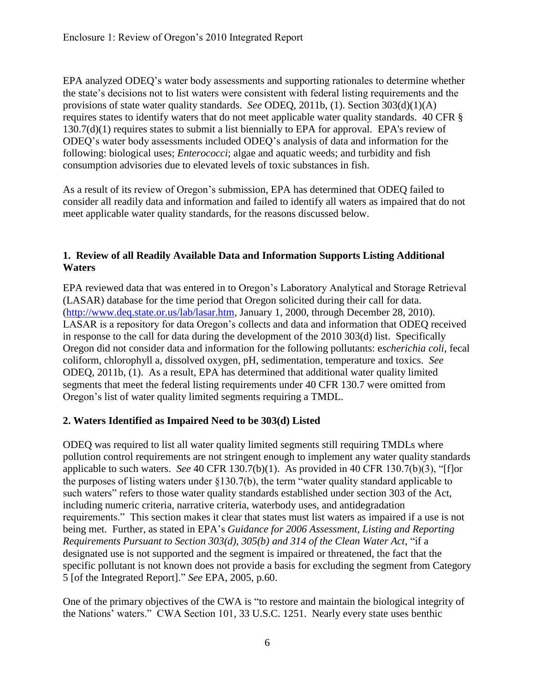EPA analyzed ODEQ's water body assessments and supporting rationales to determine whether the state's decisions not to list waters were consistent with federal listing requirements and the provisions of state water quality standards. *See* ODEQ, 2011b, (1). Section 303(d)(1)(A) requires states to identify waters that do not meet applicable water quality standards. 40 CFR § 130.7(d)(1) requires states to submit a list biennially to EPA for approval. EPA's review of ODEQ's water body assessments included ODEQ's analysis of data and information for the following: biological uses; *Enterococci*; algae and aquatic weeds; and turbidity and fish consumption advisories due to elevated levels of toxic substances in fish.

As a result of its review of Oregon's submission, EPA has determined that ODEQ failed to consider all readily data and information and failed to identify all waters as impaired that do not meet applicable water quality standards, for the reasons discussed below.

#### **1. Review of all Readily Available Data and Information Supports Listing Additional Waters**

EPA reviewed data that was entered in to Oregon's Laboratory Analytical and Storage Retrieval (LASAR) database for the time period that Oregon solicited during their call for data. [\(http://www.deq.state.or.us/lab/lasar.htm,](http://www.deq.state.or.us/lab/lasar.htm) January 1, 2000, through December 28, 2010). LASAR is a repository for data Oregon's collects and data and information that ODEQ received in response to the call for data during the development of the 2010 303(d) list. Specifically Oregon did not consider data and information for the following pollutants: e*scherichia coli*, fecal coliform, chlorophyll a, dissolved oxygen, pH, sedimentation, temperature and toxics. *See* ODEQ, 2011b, (1). As a result, EPA has determined that additional water quality limited segments that meet the federal listing requirements under 40 CFR 130.7 were omitted from Oregon's list of water quality limited segments requiring a TMDL.

### **2. Waters Identified as Impaired Need to be 303(d) Listed**

ODEQ was required to list all water quality limited segments still requiring TMDLs where pollution control requirements are not stringent enough to implement any water quality standards applicable to such waters. *See* 40 CFR 130.7(b)(1). As provided in 40 CFR 130.7(b)(3), "[f]or the purposes of listing waters under §130.7(b), the term "water quality standard applicable to such waters" refers to those water quality standards established under section 303 of the Act, including numeric criteria, narrative criteria, waterbody uses, and antidegradation requirements." This section makes it clear that states must list waters as impaired if a use is not being met. Further, as stated in EPA's *Guidance for 2006 Assessment, Listing and Reporting Requirements Pursuant to Section 303(d), 305(b) and 314 of the Clean Water Act*, "if a designated use is not supported and the segment is impaired or threatened, the fact that the specific pollutant is not known does not provide a basis for excluding the segment from Category 5 [of the Integrated Report]." *See* EPA, 2005, p.60.

One of the primary objectives of the CWA is "to restore and maintain the biological integrity of the Nations' waters." CWA Section 101, 33 U.S.C. 1251. Nearly every state uses benthic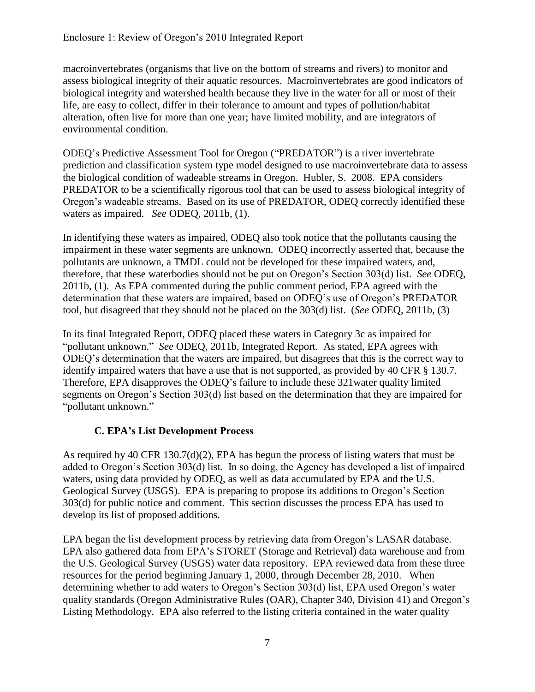macroinvertebrates (organisms that live on the bottom of streams and rivers) to monitor and assess biological integrity of their aquatic resources. Macroinvertebrates are good indicators of biological integrity and watershed health because they live in the water for all or most of their life, are easy to collect, differ in their tolerance to amount and types of pollution/habitat alteration, often live for more than one year; have limited mobility, and are integrators of environmental condition.

ODEQ's Predictive Assessment Tool for Oregon ("PREDATOR") is a river invertebrate prediction and classification system type model designed to use macroinvertebrate data to assess the biological condition of wadeable streams in Oregon. Hubler, S. 2008. EPA considers PREDATOR to be a scientifically rigorous tool that can be used to assess biological integrity of Oregon's wadeable streams. Based on its use of PREDATOR, ODEQ correctly identified these waters as impaired. *See* ODEQ, 2011b, (1).

In identifying these waters as impaired, ODEQ also took notice that the pollutants causing the impairment in these water segments are unknown. ODEQ incorrectly asserted that, because the pollutants are unknown, a TMDL could not be developed for these impaired waters, and, therefore, that these waterbodies should not be put on Oregon's Section 303(d) list. *See* ODEQ, 2011b, (1). As EPA commented during the public comment period, EPA agreed with the determination that these waters are impaired, based on ODEQ's use of Oregon's PREDATOR tool, but disagreed that they should not be placed on the 303(d) list. (*See* ODEQ, 2011b, (3)

In its final Integrated Report, ODEQ placed these waters in Category 3c as impaired for "pollutant unknown." *See* ODEQ, 2011b, Integrated Report. As stated, EPA agrees with ODEQ's determination that the waters are impaired, but disagrees that this is the correct way to identify impaired waters that have a use that is not supported, as provided by 40 CFR § 130.7. Therefore, EPA disapproves the ODEQ's failure to include these 321water quality limited segments on Oregon's Section 303(d) list based on the determination that they are impaired for "pollutant unknown."

### **C. EPA's List Development Process**

As required by 40 CFR 130.7(d)(2), EPA has begun the process of listing waters that must be added to Oregon's Section 303(d) list. In so doing, the Agency has developed a list of impaired waters, using data provided by ODEQ, as well as data accumulated by EPA and the U.S. Geological Survey (USGS). EPA is preparing to propose its additions to Oregon's Section 303(d) for public notice and comment. This section discusses the process EPA has used to develop its list of proposed additions.

EPA began the list development process by retrieving data from Oregon's LASAR database. EPA also gathered data from EPA's STORET (Storage and Retrieval) data warehouse and from the U.S. Geological Survey (USGS) water data repository. EPA reviewed data from these three resources for the period beginning January 1, 2000, through December 28, 2010. When determining whether to add waters to Oregon's Section 303(d) list, EPA used Oregon's water quality standards (Oregon Administrative Rules (OAR), Chapter 340, Division 41) and Oregon's Listing Methodology. EPA also referred to the listing criteria contained in the water quality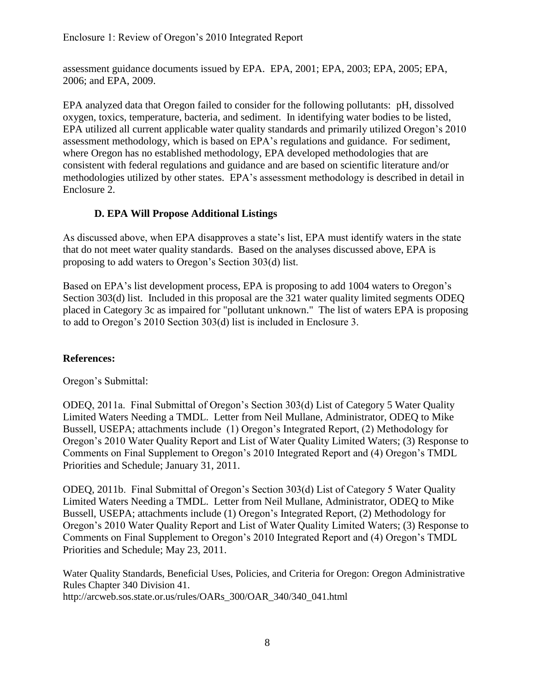assessment guidance documents issued by EPA. EPA, 2001; EPA, 2003; EPA, 2005; EPA, 2006; and EPA, 2009.

EPA analyzed data that Oregon failed to consider for the following pollutants: pH, dissolved oxygen, toxics, temperature, bacteria, and sediment. In identifying water bodies to be listed, EPA utilized all current applicable water quality standards and primarily utilized Oregon's 2010 assessment methodology, which is based on EPA's regulations and guidance. For sediment, where Oregon has no established methodology, EPA developed methodologies that are consistent with federal regulations and guidance and are based on scientific literature and/or methodologies utilized by other states. EPA's assessment methodology is described in detail in Enclosure 2.

### **D. EPA Will Propose Additional Listings**

As discussed above, when EPA disapproves a state's list, EPA must identify waters in the state that do not meet water quality standards. Based on the analyses discussed above, EPA is proposing to add waters to Oregon's Section 303(d) list.

Based on EPA's list development process, EPA is proposing to add 1004 waters to Oregon's Section 303(d) list. Included in this proposal are the 321 water quality limited segments ODEQ placed in Category 3c as impaired for "pollutant unknown." The list of waters EPA is proposing to add to Oregon's 2010 Section 303(d) list is included in Enclosure 3.

### **References:**

Oregon's Submittal:

ODEQ, 2011a. Final Submittal of Oregon's Section 303(d) List of Category 5 Water Quality Limited Waters Needing a TMDL. Letter from Neil Mullane, Administrator, ODEQ to Mike Bussell, USEPA; attachments include (1) Oregon's Integrated Report, (2) Methodology for Oregon's 2010 Water Quality Report and List of Water Quality Limited Waters; (3) Response to Comments on Final Supplement to Oregon's 2010 Integrated Report and (4) Oregon's TMDL Priorities and Schedule; January 31, 2011.

ODEQ, 2011b. Final Submittal of Oregon's Section 303(d) List of Category 5 Water Quality Limited Waters Needing a TMDL. Letter from Neil Mullane, Administrator, ODEQ to Mike Bussell, USEPA; attachments include (1) Oregon's Integrated Report, (2) Methodology for Oregon's 2010 Water Quality Report and List of Water Quality Limited Waters; (3) Response to Comments on Final Supplement to Oregon's 2010 Integrated Report and (4) Oregon's TMDL Priorities and Schedule; May 23, 2011.

Water Quality Standards, Beneficial Uses, Policies, and Criteria for Oregon: Oregon Administrative Rules Chapter 340 Division 41. http://arcweb.sos.state.or.us/rules/OARs\_300/OAR\_340/340\_041.html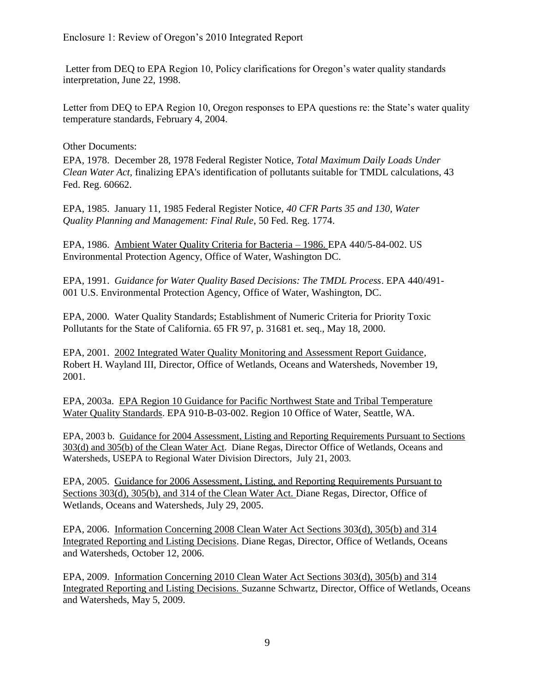Letter from DEQ to EPA Region 10, Policy clarifications for Oregon's water quality standards interpretation, June 22, 1998.

Letter from DEQ to EPA Region 10, Oregon responses to EPA questions re: the State's water quality temperature standards, February 4, 2004.

Other Documents:

EPA, 1978. December 28, 1978 Federal Register Notice, *Total Maximum Daily Loads Under Clean Water Act,* finalizing EPA's identification of pollutants suitable for TMDL calculations, 43 Fed. Reg. 60662.

EPA, 1985. January 11, 1985 Federal Register Notice, *40 CFR Parts 35 and 130, Water Quality Planning and Management: Final Rule*, 50 Fed. Reg. 1774.

EPA, 1986. Ambient Water Quality Criteria for Bacteria – 1986. EPA 440/5-84-002. US Environmental Protection Agency, Office of Water, Washington DC.

EPA, 1991. *Guidance for Water Quality Based Decisions: The TMDL Process*. EPA 440/491- 001 U.S. Environmental Protection Agency, Office of Water, Washington, DC.

EPA, 2000. Water Quality Standards; Establishment of Numeric Criteria for Priority Toxic Pollutants for the State of California. 65 FR 97, p. 31681 et. seq., May 18, 2000.

EPA, 2001. 2002 Integrated Water Quality Monitoring and Assessment Report Guidance, Robert H. Wayland III, Director, Office of Wetlands, Oceans and Watersheds, November 19, 2001.

EPA, 2003a. EPA Region 10 Guidance for Pacific Northwest State and Tribal Temperature Water Quality Standards. EPA 910-B-03-002. Region 10 Office of Water, Seattle, WA.

EPA, 2003 b. Guidance for 2004 Assessment, Listing and Reporting Requirements Pursuant to Sections 303(d) and 305(b) of the Clean Water Act. Diane Regas, Director Office of Wetlands, Oceans and Watersheds, USEPA to Regional Water Division Directors, July 21, 2003.

EPA, 2005. Guidance for 2006 Assessment, Listing, and Reporting Requirements Pursuant to Sections 303(d), 305(b), and 314 of the Clean Water Act. Diane Regas, Director, Office of Wetlands, Oceans and Watersheds, July 29, 2005.

EPA, 2006. Information Concerning 2008 Clean Water Act Sections 303(d), 305(b) and 314 Integrated Reporting and Listing Decisions. Diane Regas, Director, Office of Wetlands, Oceans and Watersheds, October 12, 2006.

EPA, 2009. Information Concerning 2010 Clean Water Act Sections 303(d), 305(b) and 314 Integrated Reporting and Listing Decisions. Suzanne Schwartz, Director, Office of Wetlands, Oceans and Watersheds, May 5, 2009.